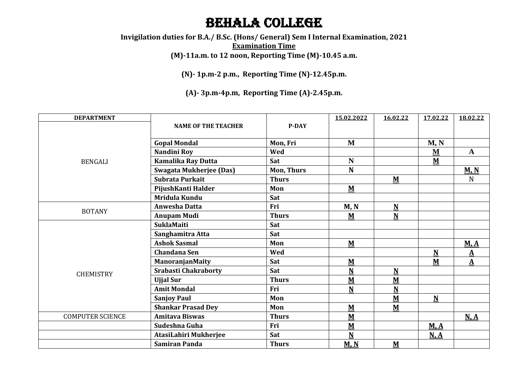## Behala College

**Invigilation duties for B.A./ B.Sc. (Hons/ General) Sem I Internal Examination, 2021 Examination Time (M)-11a.m. to 12 noon, Reporting Time (M)-10.45 a.m.**

**(N)- 1p.m-2 p.m., Reporting Time (N)-12.45p.m.**

**(A)- 3p.m-4p.m, Reporting Time (A)-2.45p.m.**

| <b>DEPARTMENT</b>       |                                |                   | 15.02.2022               | 16.02.22                 | 17.02.22                 | 18.02.22          |
|-------------------------|--------------------------------|-------------------|--------------------------|--------------------------|--------------------------|-------------------|
| <b>BENGALI</b>          | <b>NAME OF THE TEACHER</b>     | P-DAY             |                          |                          |                          |                   |
|                         |                                |                   |                          |                          |                          |                   |
|                         | <b>Gopal Mondal</b>            | Mon, Fri          | M                        |                          | M, N                     |                   |
|                         | Nandini Roy                    | Wed               |                          |                          | ${\bf M}$                | $\mathbf{A}$      |
|                         | <b>Kamalika Ray Dutta</b>      | Sat               | $\mathbf N$              |                          | $\underline{\mathbf{M}}$ |                   |
|                         | <b>Swagata Mukherjee (Das)</b> | <b>Mon, Thurs</b> | N                        |                          |                          | M, N              |
|                         | Subrata Purkait                | <b>Thurs</b>      |                          | ${\bf M}$                |                          | N                 |
|                         | PijushKanti Halder             | Mon               | M                        |                          |                          |                   |
|                         | Mridula Kundu                  | Sat               |                          |                          |                          |                   |
| <b>BOTANY</b>           | <b>Anwesha Datta</b>           | Fri               | M, N                     | $\mathbf N$              |                          |                   |
|                         | <b>Anupam Mudi</b>             | <b>Thurs</b>      | ${\bf M}$                | ${\bf N}$                |                          |                   |
|                         | <b>SuklaMaiti</b>              | Sat               |                          |                          |                          |                   |
|                         | Sanghamitra Atta               | Sat               |                          |                          |                          |                   |
|                         | <b>Ashok Sasmal</b>            | Mon               | $\underline{\mathbf{M}}$ |                          |                          | M, A              |
|                         | <b>Chandana Sen</b>            | Wed               |                          |                          | $\underline{\mathbf{N}}$ | $\mathbf A$       |
|                         | ManoranjanMaity                | Sat               | $\underline{\mathbf{M}}$ |                          | $M$                      | $\mathbf{\Delta}$ |
| <b>CHEMISTRY</b>        | <b>Srabasti Chakraborty</b>    | Sat               | $\underline{\mathbf{N}}$ | $\underline{\mathbf{N}}$ |                          |                   |
|                         | <b>Ujjal Sur</b>               | <b>Thurs</b>      | $\underline{\mathbf{M}}$ | ${\bf M}$                |                          |                   |
|                         | <b>Amit Mondal</b>             | Fri               | $\mathbf N$              | $\overline{\mathbf{N}}$  |                          |                   |
|                         | <b>Sanjoy Paul</b>             | Mon               |                          | M                        | $\underline{\mathbf{N}}$ |                   |
|                         | <b>Shankar Prasad Dey</b>      | Mon               | ${\bf M}$                | $M$                      |                          |                   |
| <b>COMPUTER SCIENCE</b> | <b>Amitava Biswas</b>          | <b>Thurs</b>      | $\underline{\mathbf{M}}$ |                          |                          | N.A               |
|                         | Sudeshna Guha                  | Fri               | $\underline{\mathbf{M}}$ |                          | M.A                      |                   |
|                         | AtasiLahiri Mukherjee          | Sat               | $\overline{\mathbf{N}}$  |                          | N.A                      |                   |
|                         | <b>Samiran Panda</b>           | <b>Thurs</b>      | M, N                     | ${\bf M}$                |                          |                   |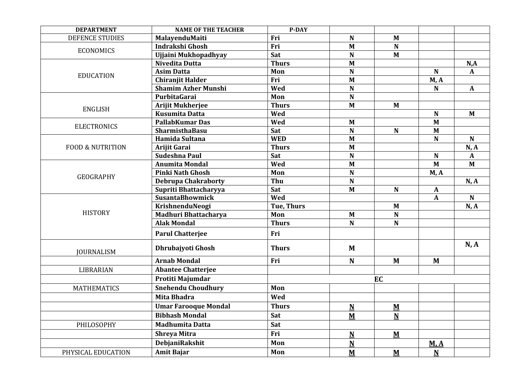| <b>DEPARTMENT</b>           | <b>NAME OF THE TEACHER</b>  | <b>P-DAY</b>      |                          |                          |                          |              |
|-----------------------------|-----------------------------|-------------------|--------------------------|--------------------------|--------------------------|--------------|
| <b>DEFENCE STUDIES</b>      | MalayenduMaiti              | Fri               | $\mathbf N$              | M                        |                          |              |
| <b>ECONOMICS</b>            | Indrakshi Ghosh             | Fri               | $\mathbf{M}$             | $\mathbf N$              |                          |              |
|                             | Ujjaini Mukhopadhyay        | Sat               | N                        | $M$                      |                          |              |
|                             | Nivedita Dutta              | <b>Thurs</b>      | $\mathbf{M}$             |                          |                          | N, A         |
| <b>EDUCATION</b>            | <b>Asim Datta</b>           | Mon               | N                        |                          | N                        | A            |
|                             | <b>Chiranjit Halder</b>     | Fri               | $\mathbf{M}$             |                          | M, A                     |              |
|                             | <b>Shamim Azher Munshi</b>  | Wed               | N                        |                          | $\mathbf N$              | $\mathbf{A}$ |
|                             | PurbitaGarai                | Mon               | ${\bf N}$                |                          |                          |              |
| <b>ENGLISH</b>              | <b>Arijit Mukherjee</b>     | <b>Thurs</b>      | $\mathbf{M}$             | $M$                      |                          |              |
|                             | <b>Kusumita Datta</b>       | Wed               |                          |                          | $\mathbf N$              | $M$          |
|                             | <b>PallabKumar Das</b>      | Wed               | $\mathbf{M}$             |                          | $\mathbf{M}$             |              |
| <b>ELECTRONICS</b>          | SharmisthaBasu              | Sat               | $\mathbf N$              | ${\bf N}$                | M                        |              |
|                             | Hamida Sultana              | <b>WED</b>        | $\mathbf{M}$             |                          | $\mathbf N$              | $\mathbf N$  |
| <b>FOOD &amp; NUTRITION</b> | Arijit Garai                | <b>Thurs</b>      | M                        |                          |                          | N, A         |
|                             | Sudeshna Paul               | Sat               | N                        |                          | $\mathbf N$              | $\mathbf{A}$ |
|                             | <b>Anumita Mondal</b>       | Wed               | $\mathbf{M}$             |                          | $\mathbf{M}$             | $M$          |
|                             | <b>Pinki Nath Ghosh</b>     | Mon               | N                        |                          | M, A                     |              |
| <b>GEOGRAPHY</b>            | <b>Debrupa Chakraborty</b>  | Thu               | $\mathbf N$              |                          |                          | N, A         |
|                             | Supriti Bhattacharyya       | Sat               | M                        | $\mathbf N$              | $\mathbf{A}$             |              |
|                             | <b>SusantaBhowmick</b>      | Wed               |                          |                          | $\mathbf{A}$             | N            |
|                             | KrishnenduNeogi             | <b>Tue, Thurs</b> |                          | $\mathbf{M}$             |                          | N, A         |
| <b>HISTORY</b>              | Madhuri Bhattacharya        | Mon               | M                        | $\mathbf N$              |                          |              |
|                             | <b>Alak Mondal</b>          | <b>Thurs</b>      | N                        | $\mathbf N$              |                          |              |
|                             | <b>Parul Chatterjee</b>     | Fri               |                          |                          |                          |              |
| <b>JOURNALISM</b>           | Dhrubajyoti Ghosh           | <b>Thurs</b>      | M                        |                          |                          | N, A         |
|                             | <b>Arnab Mondal</b>         | Fri               | N                        | $M$                      | M                        |              |
| LIBRARIAN                   | <b>Abantee Chatterjee</b>   |                   |                          |                          |                          |              |
|                             | Protiti Majumdar            | EC                |                          |                          |                          |              |
| <b>MATHEMATICS</b>          | <b>Snehendu Choudhury</b>   | Mon               |                          |                          |                          |              |
|                             | <b>Mita Bhadra</b>          | Wed               |                          |                          |                          |              |
|                             | <b>Umar Farooque Mondal</b> | <b>Thurs</b>      | $\underline{\mathbf{N}}$ | $\underline{\mathbf{M}}$ |                          |              |
|                             | <b>Bibhash Mondal</b>       | Sat               | $\underline{\mathbf{M}}$ | $\overline{\mathbf{N}}$  |                          |              |
| PHILOSOPHY                  | <b>Madhumita Datta</b>      | Sat               |                          |                          |                          |              |
|                             | <b>Shreya Mitra</b>         | Fri               | $\underline{\mathbf{N}}$ | $\underline{\mathbf{M}}$ |                          |              |
|                             | DebjaniRakshit              | Mon               | $\underline{\mathbf{N}}$ |                          | M, A                     |              |
| PHYSICAL EDUCATION          | <b>Amit Bajar</b>           | Mon               | $\underline{\mathbf{M}}$ | $\underline{\mathbf{M}}$ | $\underline{\mathbf{N}}$ |              |